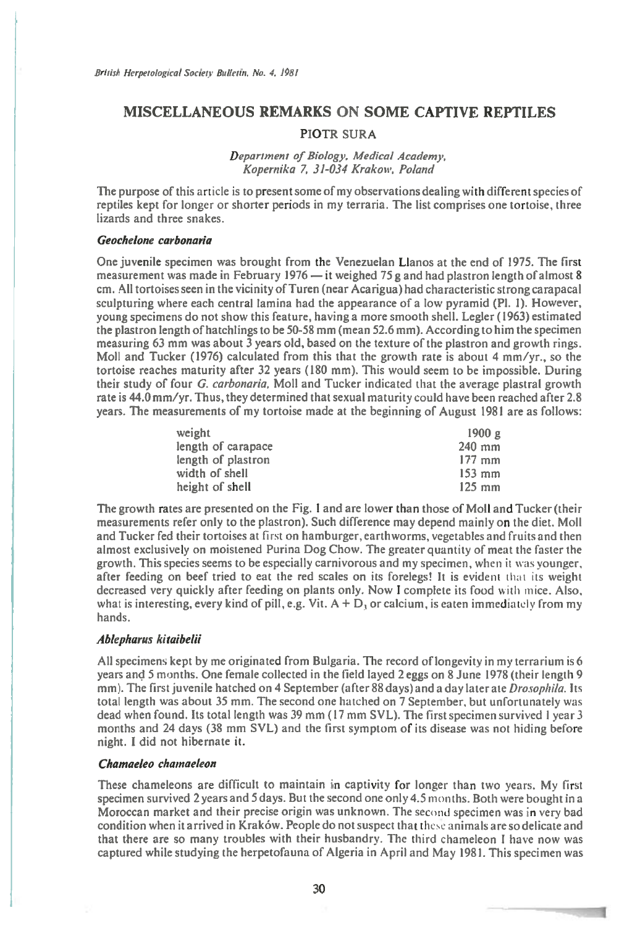# **MISCELLANEOUS REMARKS ON SOME CAPTIVE REPTILES**

## **PIOTR SURA**

### **Department of Biology, Medical Academy, Kopernika 7, 31-034 Krakow, Poland**

**The purpose of this article is to present some of my observations dealing with different species of reptiles kept for longer or shorter periods in my terraria. The list comprises one tortoise, three lizards and three snakes.** 

#### **Geochelone carbonaria**

**One juvenile specimen was brought from the Venezuelan Llanos at the end of 1975. The first measurement was made in February 1976 — it weighed 75 g and had plastron length of almost 8 cm. All tortoises seen in the vicinity of Turen (near Acarigua) had characteristic strong carapacal sculpturing where each central lamina had the appearance of a low pyramid (Pl. I). However, young specimens do not show this feature, having a more smooth shell. Legler (1963) estimated the plastron length of hatchlings to be 50-58 mm (mean 52.6 mm). According to him the specimen measuring 63 mm was about 3 years old, based on the texture of the plastron and growth rings. Moll and Tucker (1976) calculated from this that the growth rate is about 4 mm/yr., so the tortoise reaches maturity after 32 years (180 mm). This would seem to be impossible. During their study of four** *G.* **carbonaria. Moll and Tucker indicated that the average plastral growth rate is 44.0 mm/yr. Thus, they determined that sexual maturity could have been reached after 2.8 years. The measurements of my tortoise made at the beginning of August 1981 are as follows:** 

| weight             | 1900 g           |
|--------------------|------------------|
| length of carapace | $240$ mm         |
| length of plastron | $177 \text{ mm}$ |
| width of shell     | $153 \text{ mm}$ |
| height of shell    | $125 \text{ mm}$ |

**The growth rates are presented on the Fig. 1 and are lower than those of Moll and Tucker (their measurements refer only to the plastron). Such difference may depend mainly on the diet. Moll and Tucker fed their tortoises at** first **on hamburger, earthworms, vegetables and fruits and then almost exclusively on moistened Purina Dog Chow. The greater quantity of meat the faster the growth. This species seems to be especially carnivorous and my specimen, when** it was **younger, after feeding on beef tried to eat the red scales on its forelegs! It is evident** that its **weight decreased very quickly after feeding on plants only. Now I complete its food** with mice. **Also,**  what is interesting, every kind of pill, e.g. Vit.  $A + D_1$  or calcium, is eaten immediately from my **hands.** 

### **Ablepharus kitaibelii**

**All specimens kept by me originated from Bulgaria. The record of longevity in my terrarium is 6 years and 5 months. One female collected in the field layed 2 eggs on 8 June 1978 (their length 9 mm). The first juvenile hatched on 4 September (after 88 days) and a day later ate Drosophila. Its total length was about 35 mm. The second one hatched on 7 September, but unfortunately was dead when found. Its total length was 39 mm (17 mm SVL). The first specimen survived 1 year 3 months and 24 days (38 mm SVL) and the first symptom of its disease was not hiding before night. I did not hibernate it.** 

## **Chamaeko chamaeleon**

**These chameleons are difficult to maintain in captivity for longer than two years. My first specimen survived 2 years and 5 days. But the second one only 4.5 months. Both were bought in a Moroccan market and their precise origin was unknown. The** second specimen was in **very bad condition when it arrived in Krakow. People do not suspect that** these animals are so **delicate and that there are so many troubles with their husbandry. The third chameleon I have now was captured while studying the herpetofauna of Algeria in April and May 1981. This specimen was**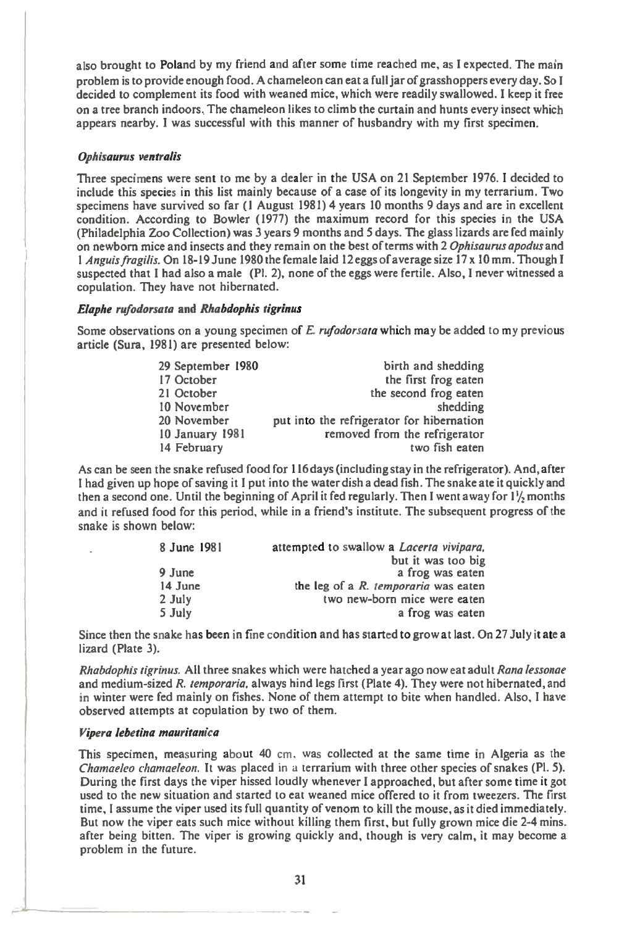also brought to Poland by my friend and after some time reached me, as I expected. The main also brought to Poland by my friend and after some time reached me, as I expected. The main<br>problem is to provide enough food. A chameleon can eat a full jar of grasshoppers every day. So I<br>decided to complement its food w on a tree branch indoors. The chameleon likes to climb the curtain and hunts every insect which appears nearby. I was successful with this manner of husbandry with my first specimen.

### **Ophisaurus ventralis**

Three specimens were sent to me by a dealer in the USA on 21 September 1976. I decided to include this species in this list mainly because of a case of its longevity in my terrarium. Two specimens have survived so far (1 August 1981) 4 years 10 months 9 days and are in excellent condition. According to Bowler (1977) the maximum record for this species in the USA (Philadelphia Zoo Collection) was 3 years 9 months and 5 days. The glass lizards are fed mainly on newborn mice and insects and they remain on the best of terms with 2 **Ophisaurus apodus** and <sup>1</sup>**Anguis fragilis.** On 18-19 June 1980 the female laid 12 eggs of average size 17 x 10 mm. Though I suspected that I had also a male (P1. 2), none of the eggs were fertile. Also, I never witnessed a copulation. They have not hibernated.

### **Elaphe rufodorsata** and **Rhabdophis tigrinus**

Some observations on a young specimen of **E. rufodorsata** which may be added to my previous article (Sura, 1981) are presented below:

| 29 September 1980   | birth and shedding                        |
|---------------------|-------------------------------------------|
| 17 October          | the first frog eaten                      |
| 21 October          | the second frog eaten                     |
| 10 November         | shedding                                  |
| 20 November         | put into the refrigerator for hibernation |
| $10$ January $1981$ | removed from the refrigerator             |
| 14 February         | two fish eaten                            |

As can be seen the snake refused food for 116 days (including stay in the refrigerator). And, after I had given up hope of saving it I put into the water dish a dead fish. The snake ate it quickly and then a second one. Until the beginning of April it fed regularly. Then I went away for  $1\frac{1}{2}$  months and it refused food for this period, while in a friend's institute. The subsequent progress of the snake is shown below:

| 8 June 1981 | attempted to swallow a <i>Lacerta vivipara</i> , |
|-------------|--------------------------------------------------|
|             | but it was too big                               |
| $9$ June    | a frog was eaten                                 |
| 14 June     | the leg of a R. temporaria was eaten             |
| 2 July      | two new-born mice were eaten                     |
| 5 July      | a frog was eaten                                 |

Since then the snake has been in fine condition and has started to grow at last. On 27 July it ate a lizard (Plate 3).

**Rhabdophis tigrinus.** All three snakes which were hatched a year ago now eat adult **Rana lessonae**  and medium-sized **R. temporaria.** always hind legs first (Plate 4). They were not hibernated, and in winter were fed mainly on fishes. None of them attempt to bite when handled. Also, I have observed attempts at copulation by two of them.

#### **Vipera lebetina mauritanica**

This specimen, measuring about 40 cm, was collected at the same time in Algeria as the **Chamaeleo chameleon.** It was placed in a terrarium with three other species of snakes (Pl. 5). During the first days the viper hissed loudly whenever I approached, but after some time it got used to the new situation and started to eat weaned mice offered to it from tweezers. The first time, I assume the viper used its full quantity of venom to kill the mouse, as it died immediately. But now the viper eats such mice without killing them first, but fully grown mice die 2-4 mins. after being bitten. The viper is growing quickly and, though is very calm, it may become a problem in the future.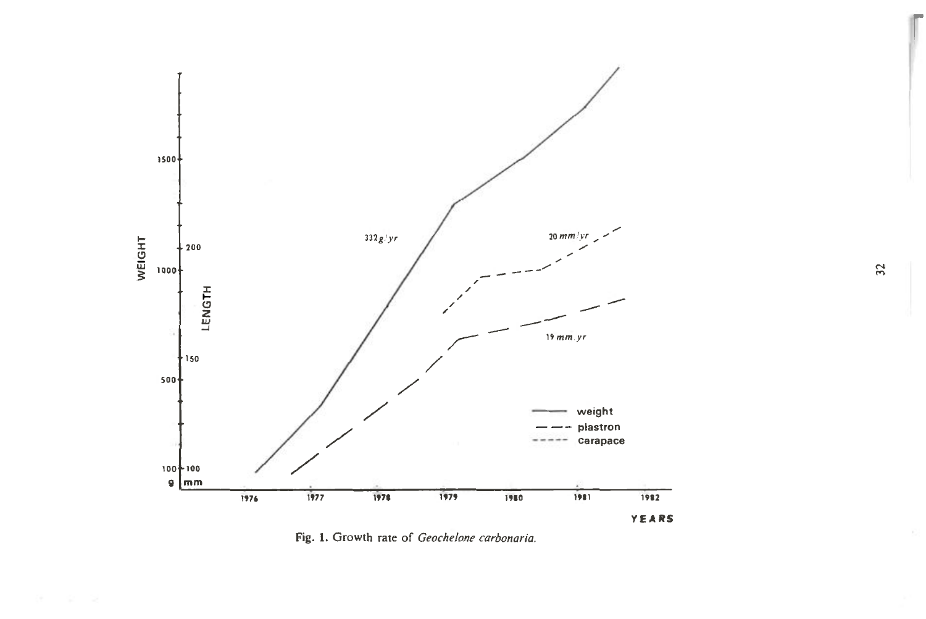

Fig. 1. Growth rate of Geochelone carbonaria.

 $32$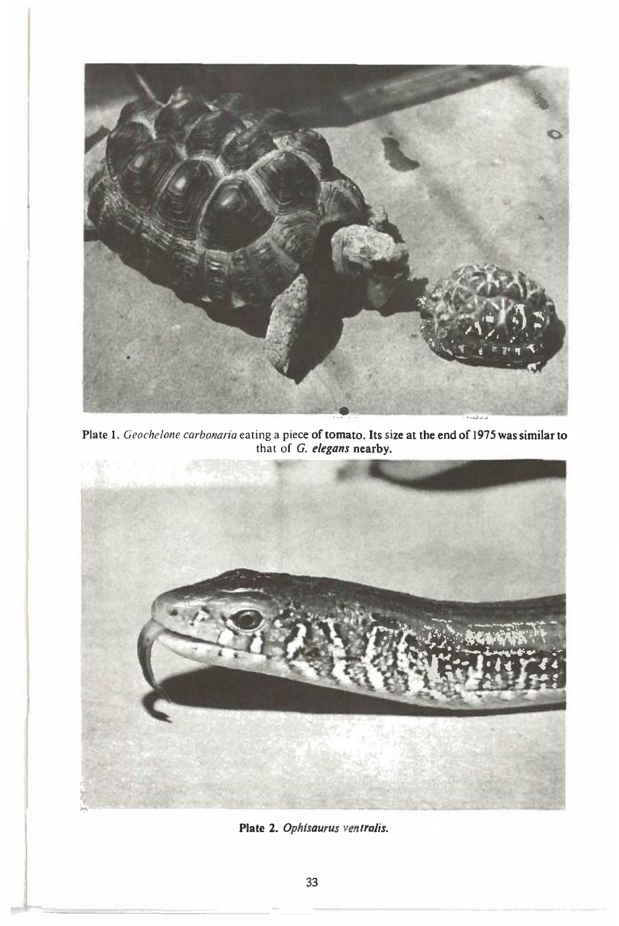

Plate 1. *Geochelone carbonana* eating a piece of tomato. Its size at the end of 1975 was similar to that of *G. elegans* **nearby.** 



Plate 2. Ophisaurus ventralis.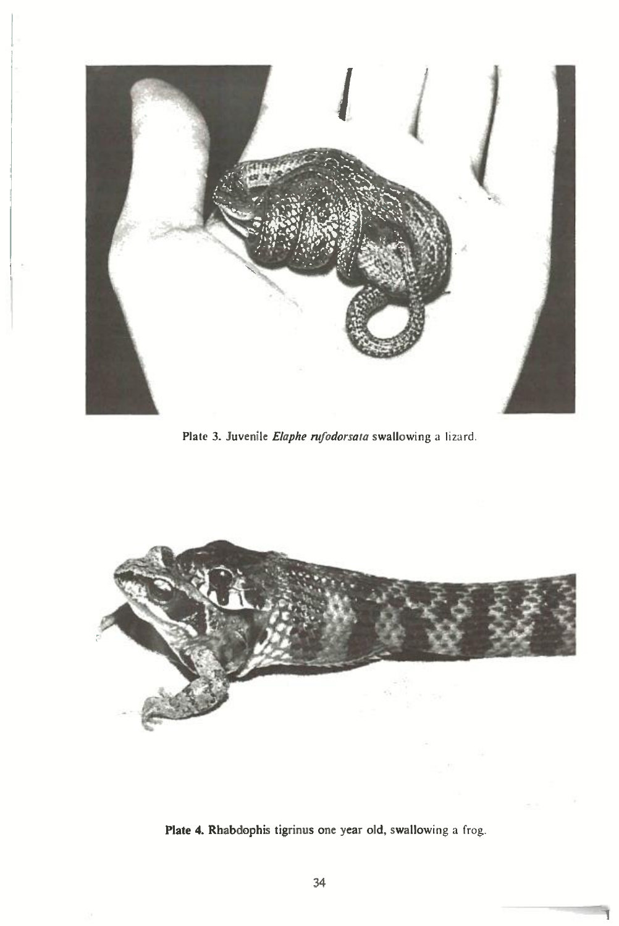

**Plate 3. Juvenile** *Elaphe nifodorsata* **swallowing** a lizard.



**Plate 4. Rhabdophis tigrinus one year old, swallowing** a frog.